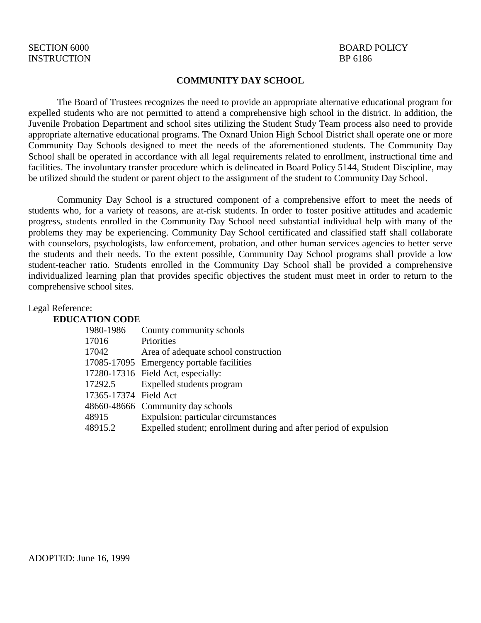#### **COMMUNITY DAY SCHOOL**

The Board of Trustees recognizes the need to provide an appropriate alternative educational program for expelled students who are not permitted to attend a comprehensive high school in the district. In addition, the Juvenile Probation Department and school sites utilizing the Student Study Team process also need to provide appropriate alternative educational programs. The Oxnard Union High School District shall operate one or more Community Day Schools designed to meet the needs of the aforementioned students. The Community Day School shall be operated in accordance with all legal requirements related to enrollment, instructional time and facilities. The involuntary transfer procedure which is delineated in Board Policy 5144, Student Discipline, may be utilized should the student or parent object to the assignment of the student to Community Day School.

Community Day School is a structured component of a comprehensive effort to meet the needs of students who, for a variety of reasons, are at-risk students. In order to foster positive attitudes and academic progress, students enrolled in the Community Day School need substantial individual help with many of the problems they may be experiencing. Community Day School certificated and classified staff shall collaborate with counselors, psychologists, law enforcement, probation, and other human services agencies to better serve the students and their needs. To the extent possible, Community Day School programs shall provide a low student-teacher ratio. Students enrolled in the Community Day School shall be provided a comprehensive individualized learning plan that provides specific objectives the student must meet in order to return to the comprehensive school sites.

#### Legal Reference:

#### **EDUCATION CODE**

| 1980-1986             | County community schools                                          |
|-----------------------|-------------------------------------------------------------------|
| 17016                 | Priorities                                                        |
| 17042                 | Area of adequate school construction                              |
|                       | 17085-17095 Emergency portable facilities                         |
|                       | 17280-17316 Field Act, especially:                                |
| 17292.5               | Expelled students program                                         |
| 17365-17374 Field Act |                                                                   |
|                       | 48660-48666 Community day schools                                 |
| 48915                 | Expulsion; particular circumstances                               |
| 48915.2               | Expelled student; enrollment during and after period of expulsion |